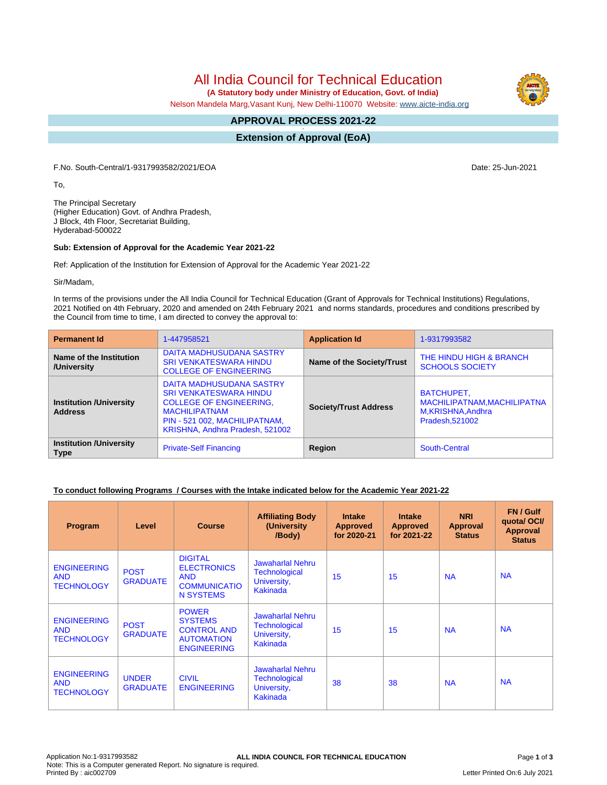All India Council for Technical Education

 **(A Statutory body under Ministry of Education, Govt. of India)**

Nelson Mandela Marg,Vasant Kunj, New Delhi-110070 Website: [www.aicte-india.org](http://www.aicte-india.org)

#### **APPROVAL PROCESS 2021-22 -**

**Extension of Approval (EoA)**

F.No. South-Central/1-9317993582/2021/EOA Date: 25-Jun-2021

To,

The Principal Secretary (Higher Education) Govt. of Andhra Pradesh, J Block, 4th Floor, Secretariat Building, Hyderabad-500022

#### **Sub: Extension of Approval for the Academic Year 2021-22**

Ref: Application of the Institution for Extension of Approval for the Academic Year 2021-22

Sir/Madam,

In terms of the provisions under the All India Council for Technical Education (Grant of Approvals for Technical Institutions) Regulations, 2021 Notified on 4th February, 2020 and amended on 24th February 2021 and norms standards, procedures and conditions prescribed by the Council from time to time, I am directed to convey the approval to:

| <b>Permanent Id</b>                              | 1-447958521                                                                                                                                                                             | <b>Application Id</b>        | 1-9317993582                                                                       |
|--------------------------------------------------|-----------------------------------------------------------------------------------------------------------------------------------------------------------------------------------------|------------------------------|------------------------------------------------------------------------------------|
| Name of the Institution<br>/University           | DAITA MADHUSUDANA SASTRY<br><b>SRI VENKATESWARA HINDU</b><br><b>COLLEGE OF ENGINEERING</b>                                                                                              | Name of the Society/Trust    | THE HINDU HIGH & BRANCH<br><b>SCHOOLS SOCIETY</b>                                  |
| <b>Institution /University</b><br><b>Address</b> | DAITA MADHUSUDANA SASTRY<br><b>SRI VENKATESWARA HINDU</b><br><b>COLLEGE OF ENGINEERING,</b><br><b>MACHILIPATNAM</b><br>PIN - 521 002, MACHILIPATNAM,<br>KRISHNA, Andhra Pradesh, 521002 | <b>Society/Trust Address</b> | BATCHUPET,<br>MACHILIPATNAM, MACHILIPATNA<br>M, KRISHNA, Andhra<br>Pradesh, 521002 |
| <b>Institution /University</b><br><b>Type</b>    | <b>Private-Self Financing</b>                                                                                                                                                           | Region                       | South-Central                                                                      |

# **To conduct following Programs / Courses with the Intake indicated below for the Academic Year 2021-22**

| Program                                               | Level                           | <b>Course</b>                                                                                   | <b>Affiliating Body</b><br>(University<br>/Body)                           | <b>Intake</b><br><b>Approved</b><br>for 2020-21 | <b>Intake</b><br><b>Approved</b><br>for 2021-22 | <b>NRI</b><br>Approval<br><b>Status</b> | FN / Gulf<br>quota/OCI/<br><b>Approval</b><br><b>Status</b> |
|-------------------------------------------------------|---------------------------------|-------------------------------------------------------------------------------------------------|----------------------------------------------------------------------------|-------------------------------------------------|-------------------------------------------------|-----------------------------------------|-------------------------------------------------------------|
| <b>ENGINEERING</b><br><b>AND</b><br><b>TECHNOLOGY</b> | <b>POST</b><br><b>GRADUATE</b>  | <b>DIGITAL</b><br><b>ELECTRONICS</b><br><b>AND</b><br><b>COMMUNICATIO</b><br>N SYSTEMS          | <b>Jawaharlal Nehru</b><br>Technological<br>University,<br><b>Kakinada</b> | 15                                              | 15                                              | <b>NA</b>                               | <b>NA</b>                                                   |
| <b>ENGINEERING</b><br><b>AND</b><br><b>TECHNOLOGY</b> | <b>POST</b><br><b>GRADUATE</b>  | <b>POWER</b><br><b>SYSTEMS</b><br><b>CONTROL AND</b><br><b>AUTOMATION</b><br><b>ENGINEERING</b> | <b>Jawaharlal Nehru</b><br>Technological<br>University,<br>Kakinada        | 15                                              | 15                                              | <b>NA</b>                               | <b>NA</b>                                                   |
| <b>ENGINEERING</b><br><b>AND</b><br><b>TECHNOLOGY</b> | <b>UNDER</b><br><b>GRADUATE</b> | <b>CIVIL</b><br><b>ENGINEERING</b>                                                              | Jawaharlal Nehru<br>Technological<br>University,<br><b>Kakinada</b>        | 38                                              | 38                                              | <b>NA</b>                               | <b>NA</b>                                                   |

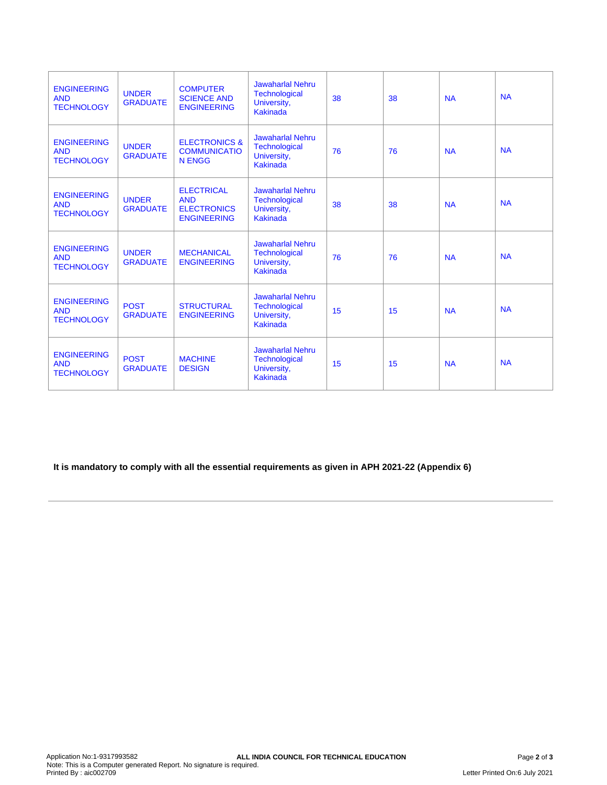| <b>ENGINEERING</b><br><b>AND</b><br><b>TECHNOLOGY</b> | <b>UNDER</b><br><b>GRADUATE</b> | <b>COMPUTER</b><br><b>SCIENCE AND</b><br><b>ENGINEERING</b>                 | <b>Jawaharlal Nehru</b><br>Technological<br>University,<br><b>Kakinada</b>        | 38 | 38 | <b>NA</b> | <b>NA</b> |
|-------------------------------------------------------|---------------------------------|-----------------------------------------------------------------------------|-----------------------------------------------------------------------------------|----|----|-----------|-----------|
| <b>ENGINEERING</b><br><b>AND</b><br><b>TECHNOLOGY</b> | <b>UNDER</b><br><b>GRADUATE</b> | <b>ELECTRONICS &amp;</b><br><b>COMMUNICATIO</b><br><b>N ENGG</b>            | <b>Jawaharlal Nehru</b><br><b>Technological</b><br>University,<br><b>Kakinada</b> | 76 | 76 | <b>NA</b> | <b>NA</b> |
| <b>ENGINEERING</b><br><b>AND</b><br><b>TECHNOLOGY</b> | <b>UNDER</b><br><b>GRADUATE</b> | <b>ELECTRICAL</b><br><b>AND</b><br><b>ELECTRONICS</b><br><b>ENGINEERING</b> | <b>Jawaharlal Nehru</b><br><b>Technological</b><br>University,<br><b>Kakinada</b> | 38 | 38 | <b>NA</b> | <b>NA</b> |
| <b>ENGINEERING</b><br><b>AND</b><br><b>TECHNOLOGY</b> | <b>UNDER</b><br><b>GRADUATE</b> | <b>MECHANICAL</b><br><b>ENGINEERING</b>                                     | <b>Jawaharlal Nehru</b><br>Technological<br>University,<br><b>Kakinada</b>        | 76 | 76 | <b>NA</b> | <b>NA</b> |
| <b>ENGINEERING</b><br><b>AND</b><br><b>TECHNOLOGY</b> | <b>POST</b><br><b>GRADUATE</b>  | <b>STRUCTURAL</b><br><b>ENGINEERING</b>                                     | <b>Jawaharlal Nehru</b><br>Technological<br>University,<br><b>Kakinada</b>        | 15 | 15 | <b>NA</b> | <b>NA</b> |
| <b>ENGINEERING</b><br><b>AND</b><br><b>TECHNOLOGY</b> | <b>POST</b><br><b>GRADUATE</b>  | <b>MACHINE</b><br><b>DESIGN</b>                                             | <b>Jawaharlal Nehru</b><br><b>Technological</b><br>University,<br><b>Kakinada</b> | 15 | 15 | <b>NA</b> | <b>NA</b> |

**It is mandatory to comply with all the essential requirements as given in APH 2021-22 (Appendix 6)**